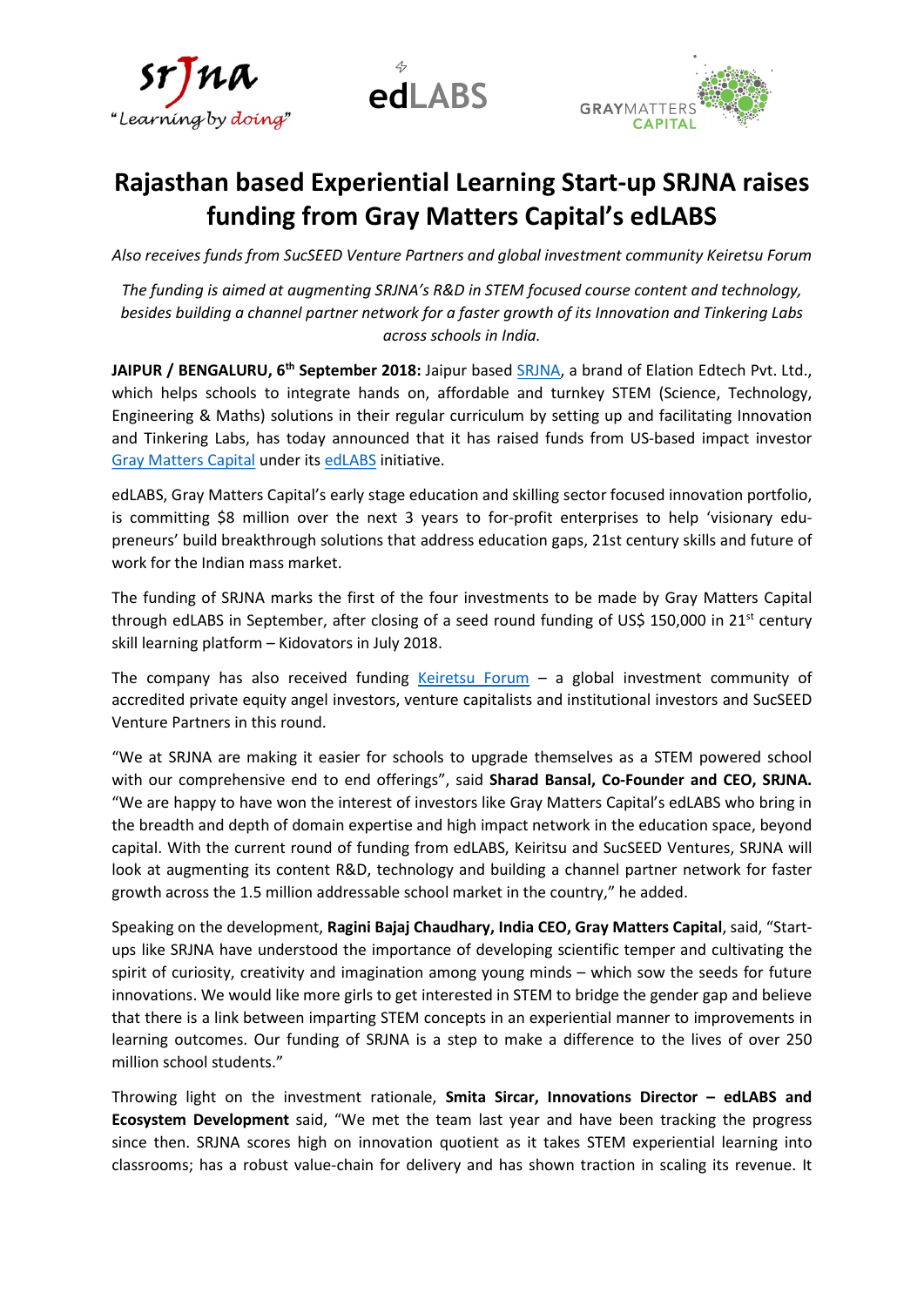





# Rajasthan based Experiential Learning Start-up SRJNA raises funding from Gray Matters Capital's edLABS

Also receives funds from SucSEED Venture Partners and global investment community Keiretsu Forum

The funding is aimed at augmenting SRJNA's R&D in STEM focused course content and technology, besides building a channel partner network for a faster growth of its Innovation and Tinkering Labs across schools in India.

JAIPUR / BENGALURU, 6<sup>th</sup> September 2018: Jaipur based SRJNA, a brand of Elation Edtech Pvt. Ltd., which helps schools to integrate hands on, affordable and turnkey STEM (Science, Technology, Engineering & Maths) solutions in their regular curriculum by setting up and facilitating Innovation and Tinkering Labs, has today announced that it has raised funds from US-based impact investor Gray Matters Capital under its edLABS initiative.

edLABS, Gray Matters Capital's early stage education and skilling sector focused innovation portfolio, is committing \$8 million over the next 3 years to for-profit enterprises to help 'visionary edupreneurs' build breakthrough solutions that address education gaps, 21st century skills and future of work for the Indian mass market.

The funding of SRJNA marks the first of the four investments to be made by Gray Matters Capital through edLABS in September, after closing of a seed round funding of US\$ 150,000 in  $21^{st}$  century skill learning platform – Kidovators in July 2018.

The company has also received funding Keiretsu Forum  $-$  a global investment community of accredited private equity angel investors, venture capitalists and institutional investors and SucSEED Venture Partners in this round.

"We at SRJNA are making it easier for schools to upgrade themselves as a STEM powered school with our comprehensive end to end offerings", said Sharad Bansal, Co-Founder and CEO, SRJNA. "We are happy to have won the interest of investors like Gray Matters Capital's edLABS who bring in the breadth and depth of domain expertise and high impact network in the education space, beyond capital. With the current round of funding from edLABS, Keiritsu and SucSEED Ventures, SRJNA will look at augmenting its content R&D, technology and building a channel partner network for faster growth across the 1.5 million addressable school market in the country," he added.

Speaking on the development, Ragini Bajaj Chaudhary, India CEO, Gray Matters Capital, said, "Startups like SRJNA have understood the importance of developing scientific temper and cultivating the spirit of curiosity, creativity and imagination among young minds – which sow the seeds for future innovations. We would like more girls to get interested in STEM to bridge the gender gap and believe that there is a link between imparting STEM concepts in an experiential manner to improvements in learning outcomes. Our funding of SRJNA is a step to make a difference to the lives of over 250 million school students."

Throwing light on the investment rationale, Smita Sircar, Innovations Director – edLABS and Ecosystem Development said, "We met the team last year and have been tracking the progress since then. SRJNA scores high on innovation quotient as it takes STEM experiential learning into classrooms; has a robust value-chain for delivery and has shown traction in scaling its revenue. It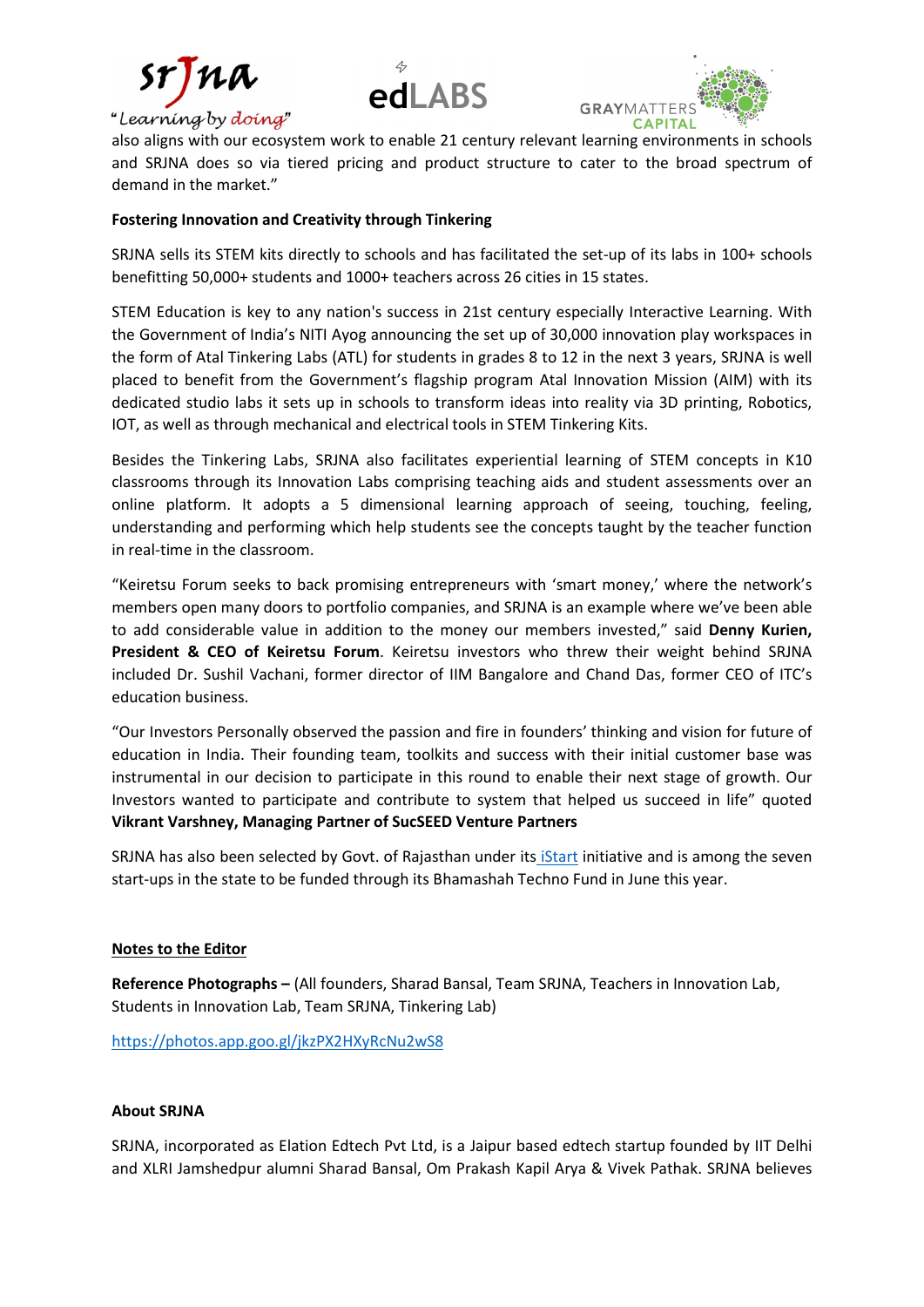





also aligns with our ecosystem work to enable 21 century relevant learning environments in schools and SRJNA does so via tiered pricing and product structure to cater to the broad spectrum of demand in the market."

# Fostering Innovation and Creativity through Tinkering

SRJNA sells its STEM kits directly to schools and has facilitated the set-up of its labs in 100+ schools benefitting 50,000+ students and 1000+ teachers across 26 cities in 15 states.

STEM Education is key to any nation's success in 21st century especially Interactive Learning. With the Government of India's NITI Ayog announcing the set up of 30,000 innovation play workspaces in the form of Atal Tinkering Labs (ATL) for students in grades 8 to 12 in the next 3 years, SRJNA is well placed to benefit from the Government's flagship program Atal Innovation Mission (AIM) with its dedicated studio labs it sets up in schools to transform ideas into reality via 3D printing, Robotics, IOT, as well as through mechanical and electrical tools in STEM Tinkering Kits.

Besides the Tinkering Labs, SRJNA also facilitates experiential learning of STEM concepts in K10 classrooms through its Innovation Labs comprising teaching aids and student assessments over an online platform. It adopts a 5 dimensional learning approach of seeing, touching, feeling, understanding and performing which help students see the concepts taught by the teacher function in real-time in the classroom.

"Keiretsu Forum seeks to back promising entrepreneurs with 'smart money,' where the network's members open many doors to portfolio companies, and SRJNA is an example where we've been able to add considerable value in addition to the money our members invested," said Denny Kurien, President & CEO of Keiretsu Forum. Keiretsu investors who threw their weight behind SRJNA included Dr. Sushil Vachani, former director of IIM Bangalore and Chand Das, former CEO of ITC's education business.

"Our Investors Personally observed the passion and fire in founders' thinking and vision for future of education in India. Their founding team, toolkits and success with their initial customer base was instrumental in our decision to participate in this round to enable their next stage of growth. Our Investors wanted to participate and contribute to system that helped us succeed in life" quoted Vikrant Varshney, Managing Partner of SucSEED Venture Partners

SRJNA has also been selected by Govt. of Rajasthan under its iStart initiative and is among the seven start-ups in the state to be funded through its Bhamashah Techno Fund in June this year.

### Notes to the Editor

Reference Photographs – (All founders, Sharad Bansal, Team SRJNA, Teachers in Innovation Lab, Students in Innovation Lab, Team SRJNA, Tinkering Lab)

https://photos.app.goo.gl/jkzPX2HXyRcNu2wS8

### About SRJNA

SRJNA, incorporated as Elation Edtech Pvt Ltd, is a Jaipur based edtech startup founded by IIT Delhi and XLRI Jamshedpur alumni Sharad Bansal, Om Prakash Kapil Arya & Vivek Pathak. SRJNA believes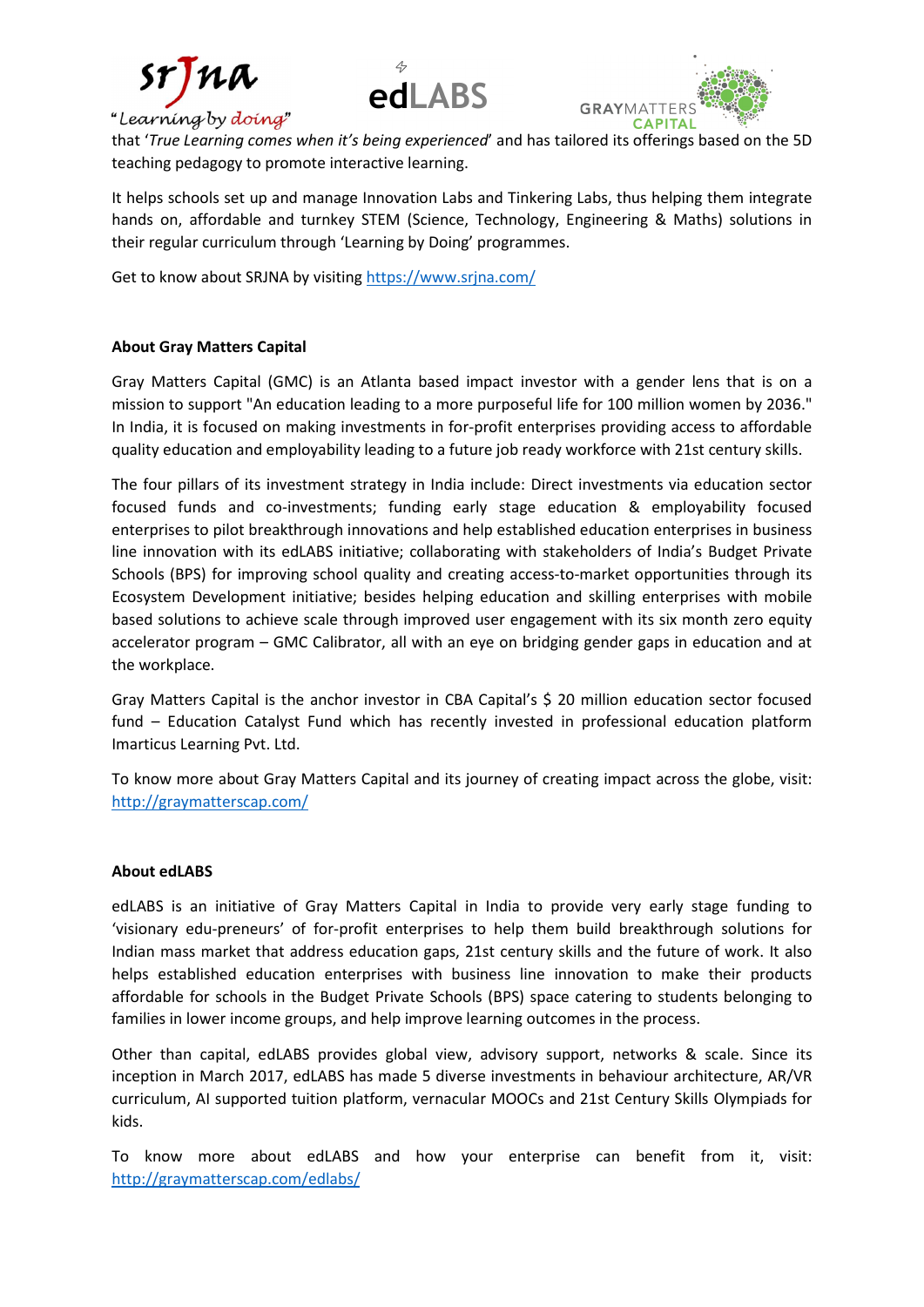

"Learning by doing





that 'True Learning comes when it's being experienced' and has tailored its offerings based on the 5D teaching pedagogy to promote interactive learning.

It helps schools set up and manage Innovation Labs and Tinkering Labs, thus helping them integrate hands on, affordable and turnkey STEM (Science, Technology, Engineering & Maths) solutions in their regular curriculum through 'Learning by Doing' programmes.

Get to know about SRJNA by visiting https://www.srjna.com/

### About Gray Matters Capital

Gray Matters Capital (GMC) is an Atlanta based impact investor with a gender lens that is on a mission to support "An education leading to a more purposeful life for 100 million women by 2036." In India, it is focused on making investments in for-profit enterprises providing access to affordable quality education and employability leading to a future job ready workforce with 21st century skills.

The four pillars of its investment strategy in India include: Direct investments via education sector focused funds and co-investments; funding early stage education & employability focused enterprises to pilot breakthrough innovations and help established education enterprises in business line innovation with its edLABS initiative; collaborating with stakeholders of India's Budget Private Schools (BPS) for improving school quality and creating access-to-market opportunities through its Ecosystem Development initiative; besides helping education and skilling enterprises with mobile based solutions to achieve scale through improved user engagement with its six month zero equity accelerator program – GMC Calibrator, all with an eye on bridging gender gaps in education and at the workplace.

Gray Matters Capital is the anchor investor in CBA Capital's \$ 20 million education sector focused fund – Education Catalyst Fund which has recently invested in professional education platform Imarticus Learning Pvt. Ltd.

To know more about Gray Matters Capital and its journey of creating impact across the globe, visit: http://graymatterscap.com/

### About edLABS

edLABS is an initiative of Gray Matters Capital in India to provide very early stage funding to 'visionary edu-preneurs' of for-profit enterprises to help them build breakthrough solutions for Indian mass market that address education gaps, 21st century skills and the future of work. It also helps established education enterprises with business line innovation to make their products affordable for schools in the Budget Private Schools (BPS) space catering to students belonging to families in lower income groups, and help improve learning outcomes in the process.

Other than capital, edLABS provides global view, advisory support, networks & scale. Since its inception in March 2017, edLABS has made 5 diverse investments in behaviour architecture, AR/VR curriculum, AI supported tuition platform, vernacular MOOCs and 21st Century Skills Olympiads for kids.

To know more about edLABS and how your enterprise can benefit from it, visit: http://graymatterscap.com/edlabs/